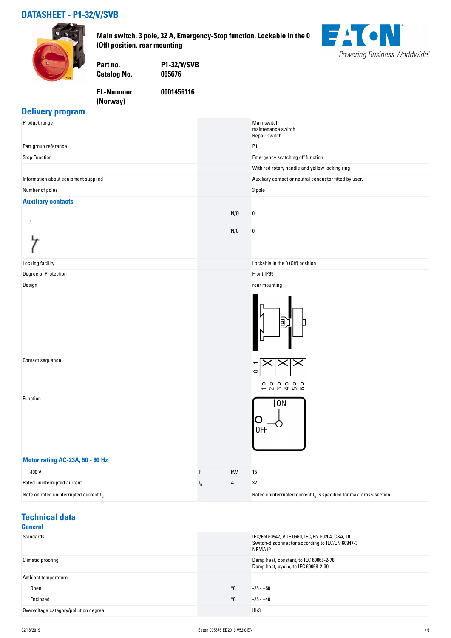#### **DATASHEET - P1-32/V/SVB**



**Main switch, 3 pole, 32 A, Emergency-Stop function, Lockable in the 0 (Off) position, rear mounting**



**Catalog No.** 

**EL-Nummer (Norway)** 

**Part no. P1-32/V/SVB**

**0001456116**

#### **Delivery program**

| Product range                          |             |             | Main switch<br>maintenance switch<br>Repair switch                     |
|----------------------------------------|-------------|-------------|------------------------------------------------------------------------|
| Part group reference                   |             |             | P1                                                                     |
| <b>Stop Function</b>                   |             |             | Emergency switching off function                                       |
|                                        |             |             | With red rotary handle and yellow locking ring                         |
| Information about equipment supplied   |             |             | Auxiliary contact or neutral conductor fitted by user.                 |
| Number of poles                        |             |             | 3 pole                                                                 |
| <b>Auxiliary contacts</b>              |             |             |                                                                        |
|                                        |             | N/0         | $\pmb{0}$                                                              |
|                                        |             | N/C         | $\pmb{0}$                                                              |
| Locking facility                       |             |             | Lockable in the 0 (Off) position                                       |
| Degree of Protection                   |             |             | Front IP65                                                             |
| Design                                 |             |             | rear mounting                                                          |
|                                        |             |             |                                                                        |
| Contact sequence                       |             |             | $\circ$<br>$0000000$<br>$ \sim$ $m$ $\sim$ $-$<br>$\circ$              |
| Function                               |             |             | 0N<br>0FF                                                              |
| Motor rating AC-23A, 50 - 60 Hz        |             |             |                                                                        |
| 400 V                                  | P           | kW          | 15                                                                     |
| Rated uninterrupted current            | $I_{\sf u}$ | $\mathsf A$ | 32                                                                     |
| Note on rated uninterrupted current !u |             |             | Rated uninterrupted current $I_u$ is specified for max. cross-section. |

#### **Technical data General**

| <b>General</b>                        |              |                                                                                                            |
|---------------------------------------|--------------|------------------------------------------------------------------------------------------------------------|
| Standards                             |              | IEC/EN 60947, VDE 0660, IEC/EN 60204, CSA, UL<br>Switch-disconnector according to IEC/EN 60947-3<br>NEMA12 |
| Climatic proofing                     |              | Damp heat, constant, to IEC 60068-2-78<br>Damp heat, cyclic, to IEC 60068-2-30                             |
| Ambient temperature                   |              |                                                                                                            |
| Open                                  | $^{\circ}$ C | $-25 - +50$                                                                                                |
| Enclosed                              | $^{\circ}$ C | $-25 - +40$                                                                                                |
| Overvoltage category/pollution degree |              | 11/3                                                                                                       |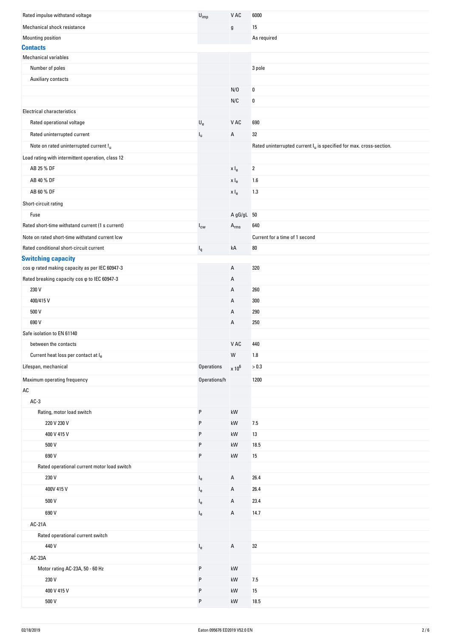| Rated impulse withstand voltage                      | $U_{imp}$                 | V AC                                        | 6000                                                                   |
|------------------------------------------------------|---------------------------|---------------------------------------------|------------------------------------------------------------------------|
| Mechanical shock resistance                          |                           | g                                           | 15                                                                     |
| Mounting position                                    |                           |                                             | As required                                                            |
| <b>Contacts</b>                                      |                           |                                             |                                                                        |
| <b>Mechanical variables</b>                          |                           |                                             |                                                                        |
| Number of poles                                      |                           |                                             | 3 pole                                                                 |
| Auxiliary contacts                                   |                           |                                             |                                                                        |
|                                                      |                           | N/0                                         | $\pmb{0}$                                                              |
|                                                      |                           | N/C                                         | 0                                                                      |
| <b>Electrical characteristics</b>                    |                           |                                             |                                                                        |
| Rated operational voltage                            | $\mathsf{U}_{\mathsf{e}}$ | V AC                                        | 690                                                                    |
| Rated uninterrupted current                          | Iu.                       | А                                           | 32                                                                     |
| Note on rated uninterrupted current !u               |                           |                                             | Rated uninterrupted current $I_u$ is specified for max. cross-section. |
| Load rating with intermittent operation, class 12    |                           |                                             |                                                                        |
| AB 25 % DF                                           |                           | x I <sub>e</sub>                            | $\overline{2}$                                                         |
| AB 40 % DF                                           |                           | x I <sub>e</sub>                            | 1.6                                                                    |
| AB 60 % DF                                           |                           |                                             |                                                                        |
|                                                      |                           | $\mathsf{x}\mathrel{\mathsf{I}}_\mathsf{e}$ | 1.3                                                                    |
| Short-circuit rating                                 |                           |                                             |                                                                        |
| Fuse                                                 |                           | A gG/gL 50                                  |                                                                        |
| Rated short-time withstand current (1 s current)     | $I_{\text{cw}}$           | $A_{rms}$                                   | 640                                                                    |
| Note on rated short-time withstand current lcw       |                           |                                             | Current for a time of 1 second                                         |
| Rated conditional short-circuit current              | $I_q$                     | kA                                          | $80\,$                                                                 |
| <b>Switching capacity</b>                            |                           |                                             |                                                                        |
| cos o rated making capacity as per IEC 60947-3       |                           | А                                           | 320                                                                    |
| Rated breaking capacity cos $\varphi$ to IEC 60947-3 |                           | Α                                           |                                                                        |
| 230 V                                                |                           | А                                           | 260                                                                    |
| 400/415V                                             |                           | А                                           | 300                                                                    |
| 500 V                                                |                           | Α                                           | 290                                                                    |
| 690 V                                                |                           | А                                           | 250                                                                    |
| Safe isolation to EN 61140                           |                           |                                             |                                                                        |
| between the contacts                                 |                           | V AC                                        | 440                                                                    |
| Current heat loss per contact at le                  |                           | ${\sf W}$                                   | 1.8                                                                    |
| Lifespan, mechanical                                 | Operations                | $\times 10^6$                               | > 0.3                                                                  |
| Maximum operating frequency                          | Operations/h              |                                             | 1200                                                                   |
| AC                                                   |                           |                                             |                                                                        |
| $AC-3$                                               |                           |                                             |                                                                        |
| Rating, motor load switch                            | P                         | kW                                          |                                                                        |
| 220 V 230 V                                          | P                         | kW                                          | 7.5                                                                    |
| 400 V 415 V                                          | P                         | kW                                          | 13                                                                     |
| 500 V                                                | P                         | kW                                          | 18.5                                                                   |
| 690 V                                                | P                         | kW                                          | 15                                                                     |
| Rated operational current motor load switch          |                           |                                             |                                                                        |
| 230 V                                                | $I_{e}$                   | А                                           | 26.4                                                                   |
| 400V 415 V                                           | $I_{e}$                   | А                                           | 26.4                                                                   |
| 500 V                                                | $l_e$                     | Α                                           | 23.4                                                                   |
| 690 V                                                | $I_{e}$                   | А                                           | 14.7                                                                   |
|                                                      |                           |                                             |                                                                        |
| AC-21A<br>Rated operational current switch           |                           |                                             |                                                                        |
|                                                      |                           |                                             |                                                                        |
| 440 V                                                | $I_e$                     | А                                           | 32                                                                     |
| AC-23A                                               |                           |                                             |                                                                        |
| Motor rating AC-23A, 50 - 60 Hz                      | P                         | kW                                          |                                                                        |
| 230 V                                                | P                         | kW                                          | 7.5                                                                    |
| 400 V 415 V                                          | P                         | kW                                          | 15                                                                     |
| 500 V                                                | P                         | kW                                          | 18.5                                                                   |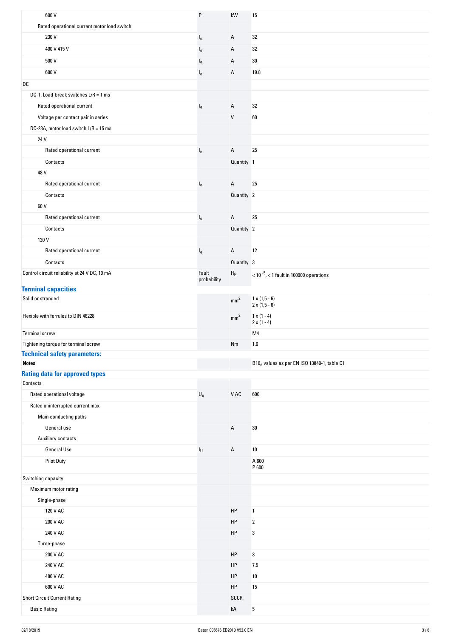| 690 V                                             | P                         | kW                | 15                                                      |
|---------------------------------------------------|---------------------------|-------------------|---------------------------------------------------------|
| Rated operational current motor load switch       |                           |                   |                                                         |
| 230 V                                             | $I_{e}$                   | A                 | 32                                                      |
| 400 V 415 V                                       | $I_e$                     | A                 | 32                                                      |
| 500 V                                             | l <sub>e</sub>            | Α                 | 30                                                      |
| 690 V                                             | le                        | A                 | 19.8                                                    |
| DC                                                |                           |                   |                                                         |
| DC-1, Load-break switches $L/R = 1$ ms            |                           |                   |                                                         |
| Rated operational current                         | $I_e$                     | A                 | 32                                                      |
| Voltage per contact pair in series                |                           | $\mathsf{V}$      | 60                                                      |
| DC-23A, motor load switch $L/R = 15$ ms           |                           |                   |                                                         |
| 24 V                                              |                           |                   |                                                         |
|                                                   |                           | $\mathsf A$       | 25                                                      |
| Rated operational current                         | l <sub>e</sub>            |                   |                                                         |
| Contacts                                          |                           | Quantity 1        |                                                         |
| 48 V                                              |                           |                   |                                                         |
| Rated operational current                         | $I_e$                     | A                 | 25                                                      |
| Contacts                                          |                           | Quantity 2        |                                                         |
| 60 V                                              |                           |                   |                                                         |
| Rated operational current                         | $\mathsf{I}_{\mathsf{e}}$ | A                 | 25                                                      |
| Contacts                                          |                           | Quantity 2        |                                                         |
| 120 V                                             |                           |                   |                                                         |
| Rated operational current                         | $\mathsf{I}_{\mathsf{e}}$ | A                 | 12                                                      |
| Contacts                                          |                           | Quantity 3        |                                                         |
| Control circuit reliability at 24 V DC, 10 mA     | Fault<br>probability      | ${\sf H}_{\sf F}$ | $<$ 10 $^{-5}$ , $<$ 1 fault in 100000 operations       |
| <b>Terminal capacities</b>                        |                           |                   |                                                         |
| Solid or stranded                                 |                           | mm <sup>2</sup>   | $1 \times (1, 5 - 6)$<br>$2 \times (1, 5 - 6)$          |
| Flexible with ferrules to DIN 46228               |                           | mm <sup>2</sup>   | $1 \times (1 - 4)$<br>$2 \times (1 - 4)$                |
| <b>Terminal screw</b>                             |                           |                   | M4                                                      |
| Tightening torque for terminal screw              |                           | Nm                | 1.6                                                     |
| <b>Technical safety parameters:</b>               |                           |                   |                                                         |
| <b>Notes</b>                                      |                           |                   | B10 <sub>d</sub> values as per EN ISO 13849-1, table C1 |
| <b>Rating data for approved types</b><br>Contacts |                           |                   |                                                         |
| Rated operational voltage                         | $\mathsf{U}_{\mathsf{e}}$ | V AC              | 600                                                     |
| Rated uninterrupted current max.                  |                           |                   |                                                         |
| Main conducting paths                             |                           |                   |                                                         |
| General use                                       |                           | $\mathsf A$       | $30\,$                                                  |
| Auxiliary contacts                                |                           |                   |                                                         |
| <b>General Use</b>                                | $I_{\mathsf{U}}$          | Α                 | 10                                                      |
| <b>Pilot Duty</b>                                 |                           |                   | A 600<br>P 600                                          |
| Switching capacity                                |                           |                   |                                                         |
| Maximum motor rating                              |                           |                   |                                                         |
| Single-phase                                      |                           |                   |                                                         |
| 120 V AC                                          |                           | HP                | $\mathbf{1}$                                            |
| 200 V AC                                          |                           | HP                | $\overline{\mathbf{2}}$                                 |
| 240 V AC                                          |                           | HP                | 3                                                       |
| Three-phase                                       |                           |                   |                                                         |
| 200 V AC                                          |                           | HP                | 3                                                       |
| 240 V AC                                          |                           | HP                | 7.5                                                     |
| 480 V AC                                          |                           | HP                | 10                                                      |
| 600 V AC                                          |                           | HP                | 15                                                      |
|                                                   |                           |                   |                                                         |
| <b>Short Circuit Current Rating</b>               |                           | SCCR              |                                                         |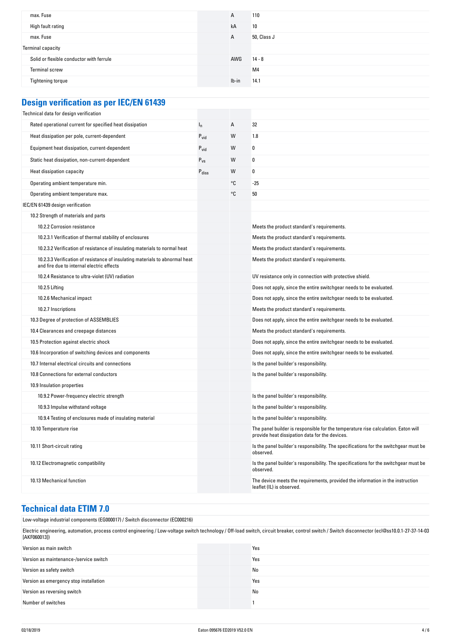| max. Fuse                                | А     | 110            |
|------------------------------------------|-------|----------------|
| High fault rating                        | kA    | 10             |
| max. Fuse                                | А     | 50, Class J    |
| Terminal capacity                        |       |                |
| Solid or flexible conductor with ferrule | AWG   | $14 - 8$       |
| Terminal screw                           |       | M <sub>4</sub> |
| Tightening torque                        | Ib-in | 14.1           |
|                                          |       |                |

| <b>Design verification as per IEC/EN 61439</b> |  |
|------------------------------------------------|--|
|------------------------------------------------|--|

| Technical data for design verification                                                                                    |                   |    |                                                                                                                                     |
|---------------------------------------------------------------------------------------------------------------------------|-------------------|----|-------------------------------------------------------------------------------------------------------------------------------------|
| Rated operational current for specified heat dissipation                                                                  | $I_n$             | А  | 32                                                                                                                                  |
| Heat dissipation per pole, current-dependent                                                                              | $P_{\text{vid}}$  | W  | 1.8                                                                                                                                 |
| Equipment heat dissipation, current-dependent                                                                             | $P_{vid}$         | W  | 0                                                                                                                                   |
| Static heat dissipation, non-current-dependent                                                                            | $P_{VS}$          | W  | 0                                                                                                                                   |
| Heat dissipation capacity                                                                                                 | $P_{\text{diss}}$ | W  | 0                                                                                                                                   |
| Operating ambient temperature min.                                                                                        |                   | ۰c | -25                                                                                                                                 |
| Operating ambient temperature max.                                                                                        |                   | ۰c | 50                                                                                                                                  |
| IEC/EN 61439 design verification                                                                                          |                   |    |                                                                                                                                     |
| 10.2 Strength of materials and parts                                                                                      |                   |    |                                                                                                                                     |
| 10.2.2 Corrosion resistance                                                                                               |                   |    | Meets the product standard's requirements.                                                                                          |
| 10.2.3.1 Verification of thermal stability of enclosures                                                                  |                   |    | Meets the product standard's requirements.                                                                                          |
| 10.2.3.2 Verification of resistance of insulating materials to normal heat                                                |                   |    | Meets the product standard's requirements.                                                                                          |
| 10.2.3.3 Verification of resistance of insulating materials to abnormal heat<br>and fire due to internal electric effects |                   |    | Meets the product standard's requirements.                                                                                          |
| 10.2.4 Resistance to ultra-violet (UV) radiation                                                                          |                   |    | UV resistance only in connection with protective shield.                                                                            |
| 10.2.5 Lifting                                                                                                            |                   |    | Does not apply, since the entire switchgear needs to be evaluated.                                                                  |
| 10.2.6 Mechanical impact                                                                                                  |                   |    | Does not apply, since the entire switchgear needs to be evaluated.                                                                  |
| 10.2.7 Inscriptions                                                                                                       |                   |    | Meets the product standard's requirements.                                                                                          |
| 10.3 Degree of protection of ASSEMBLIES                                                                                   |                   |    | Does not apply, since the entire switchgear needs to be evaluated.                                                                  |
| 10.4 Clearances and creepage distances                                                                                    |                   |    | Meets the product standard's requirements.                                                                                          |
| 10.5 Protection against electric shock                                                                                    |                   |    | Does not apply, since the entire switchgear needs to be evaluated.                                                                  |
| 10.6 Incorporation of switching devices and components                                                                    |                   |    | Does not apply, since the entire switchgear needs to be evaluated.                                                                  |
| 10.7 Internal electrical circuits and connections                                                                         |                   |    | Is the panel builder's responsibility.                                                                                              |
| 10.8 Connections for external conductors                                                                                  |                   |    | Is the panel builder's responsibility.                                                                                              |
| 10.9 Insulation properties                                                                                                |                   |    |                                                                                                                                     |
| 10.9.2 Power-frequency electric strength                                                                                  |                   |    | Is the panel builder's responsibility.                                                                                              |
| 10.9.3 Impulse withstand voltage                                                                                          |                   |    | Is the panel builder's responsibility.                                                                                              |
| 10.9.4 Testing of enclosures made of insulating material                                                                  |                   |    | Is the panel builder's responsibility.                                                                                              |
| 10.10 Temperature rise                                                                                                    |                   |    | The panel builder is responsible for the temperature rise calculation. Eaton will<br>provide heat dissipation data for the devices. |
| 10.11 Short-circuit rating                                                                                                |                   |    | Is the panel builder's responsibility. The specifications for the switchgear must be<br>observed.                                   |
| 10.12 Electromagnetic compatibility                                                                                       |                   |    | Is the panel builder's responsibility. The specifications for the switchgear must be<br>observed.                                   |
| 10.13 Mechanical function                                                                                                 |                   |    | The device meets the requirements, provided the information in the instruction<br>leaflet (IL) is observed.                         |

#### **Technical data ETIM 7.0**

Low-voltage industrial components (EG000017) / Switch disconnector (EC000216) Electric engineering, automation, process control engineering / Low-voltage switch technology / Off-load switch, circuit breaker, control switch / Switch disconnector (ecl@ss10.0.1-27-37-14-03 [AKF060013]) Version as main switch Yes Version as maintenance-/service switch **Yes** Version as safety switch No when the state of the state of the No when the No when the No when the No when the No when the No when the No when the No when the No when the No when the No when the No when the No when the No Version as emergency stop installation Vesters and American Services of Vesters and American Vesters and American Vesters and American Vesters and American Vesters and American Vesters and American Vesters and American Ves Version as reversing switch No Communication as the United States of No Communication as the No Communication of No Number of switches 1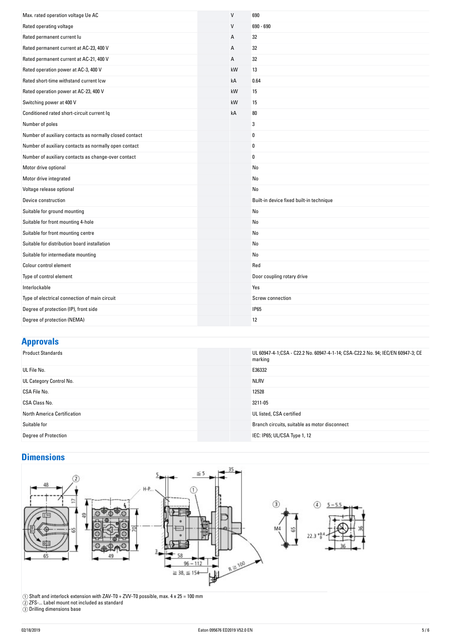| Max. rated operation voltage Ue AC                      | $\mathsf{V}$ | 690                                      |
|---------------------------------------------------------|--------------|------------------------------------------|
| Rated operating voltage                                 | V            | $690 - 690$                              |
| Rated permanent current lu                              | А            | 32                                       |
| Rated permanent current at AC-23, 400 V                 | А            | 32                                       |
| Rated permanent current at AC-21, 400 V                 | А            | 32                                       |
| Rated operation power at AC-3, 400 V                    | kW           | 13                                       |
| Rated short-time withstand current Icw                  | kA           | 0.64                                     |
| Rated operation power at AC-23, 400 V                   | kW           | 15                                       |
| Switching power at 400 V                                | kW           | 15                                       |
| Conditioned rated short-circuit current Iq              | kA           | 80                                       |
| Number of poles                                         |              | 3                                        |
| Number of auxiliary contacts as normally closed contact |              | $\bf{0}$                                 |
| Number of auxiliary contacts as normally open contact   |              | $\bf{0}$                                 |
| Number of auxiliary contacts as change-over contact     |              | $\mathbf{0}$                             |
| Motor drive optional                                    |              | No                                       |
| Motor drive integrated                                  |              | No                                       |
| Voltage release optional                                |              | No                                       |
| Device construction                                     |              | Built-in device fixed built-in technique |
| Suitable for ground mounting                            |              | No                                       |
| Suitable for front mounting 4-hole                      |              | No                                       |
| Suitable for front mounting centre                      |              | No                                       |
| Suitable for distribution board installation            |              | No                                       |
| Suitable for intermediate mounting                      |              | No                                       |
| Colour control element                                  |              | Red                                      |
| Type of control element                                 |              | Door coupling rotary drive               |
| Interlockable                                           |              | Yes                                      |
| Type of electrical connection of main circuit           |              | Screw connection                         |
| Degree of protection (IP), front side                   |              | <b>IP65</b>                              |
| Degree of protection (NEMA)                             |              | 12                                       |

## **Approvals**

| . .                         |                                                                                            |
|-----------------------------|--------------------------------------------------------------------------------------------|
| <b>Product Standards</b>    | UL 60947-4-1;CSA - C22.2 No. 60947-4-1-14; CSA-C22.2 No. 94; IEC/EN 60947-3; CE<br>marking |
| UL File No.                 | E36332                                                                                     |
| UL Category Control No.     | <b>NLRV</b>                                                                                |
| CSA File No.                | 12528                                                                                      |
| CSA Class No.               | 3211-05                                                                                    |
| North America Certification | UL listed, CSA certified                                                                   |
| Suitable for                | Branch circuits, suitable as motor disconnect                                              |
| Degree of Protection        | IEC: IP65; UL/CSA Type 1, 12                                                               |
|                             |                                                                                            |

# **Dimensions**



 $\textcircled{\textsc{i}}$  Shaft and interlock extension with ZAV-T0 + ZVV-T0 possible, max. 4 x 25 = 100 mm

② ZFS-... Label mount not included as standard

③ Drilling dimensions base